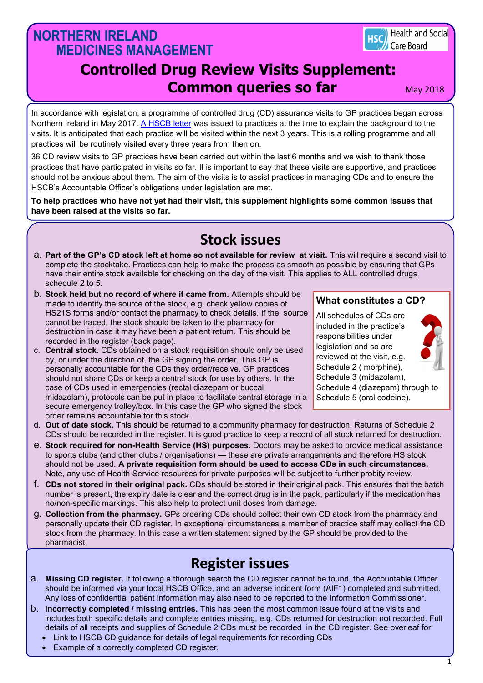## **NORTHERN IRELAND MEDICINES MANAGEMENT**



# **Controlled Drug Review Visits Supplement: Common queries so far** May 2018

In accordance with legislation, a programme of controlled drug (CD) assurance visits to GP practices began across Northern Ireland in May 2017. [A HSCB letter](http://primarycare.hscni.net/download/DocLibrary/uncategorised/2017_05_17-CONTROLLED-DRUGS-VISITS-TO-GP-PRACTICES.pdf) was issued to practices at the time to explain the background to the visits. It is anticipated that each practice will be visited within the next 3 years. This is a rolling programme and all practices will be routinely visited every three years from then on.

36 CD review visits to GP practices have been carried out within the last 6 months and we wish to thank those practices that have participated in visits so far. It is important to say that these visits are supportive, and practices should not be anxious about them. The aim of the visits is to assist practices in managing CDs and to ensure the HSCB's Accountable Officer's obligations under legislation are met.

**To help practices who have not yet had their visit, this supplement highlights some common issues that have been raised at the visits so far.**

# **Stock issues**

- a. **Part of the GP's CD stock left at home so not available for review at visit.** This will require a second visit to complete the stocktake. Practices can help to make the process as smooth as possible by ensuring that GPs have their entire stock available for checking on the day of the visit. This applies to ALL controlled drugs schedule 2 to 5.
- b. **Stock held but no record of where it came from.** Attempts should be made to identify the source of the stock, e.g. check yellow copies of HS21S forms and/or contact the pharmacy to check details. If the source cannot be traced, the stock should be taken to the pharmacy for destruction in case it may have been a patient return. This should be recorded in the register (back page).
- c. **Central stock.** CDs obtained on a stock requisition should only be used by, or under the direction of, the GP signing the order. This GP is personally accountable for the CDs they order/receive. GP practices should not share CDs or keep a central stock for use by others. In the case of CDs used in emergencies (rectal diazepam or buccal midazolam), protocols can be put in place to facilitate central storage in a secure emergency trolley/box. In this case the GP who signed the stock order remains accountable for this stock.
- d. **Out of date stock.** This should be returned to a community pharmacy for destruction. Returns of Schedule 2 CDs should be recorded in the register. It is good practice to keep a record of all stock returned for destruction.
- e. **Stock required for non-Health Service (HS) purposes.** Doctors may be asked to provide medical assistance to sports clubs (and other clubs / organisations) — these are private arrangements and therefore HS stock should not be used. **A private requisition form should be used to access CDs in such circumstances.**  Note, any use of Health Service resources for private purposes will be subject to further probity review.
- f. **CDs not stored in their original pack.** CDs should be stored in their original pack. This ensures that the batch number is present, the expiry date is clear and the correct drug is in the pack, particularly if the medication has no/non-specific markings. This also help to protect unit doses from damage.
- g. **Collection from the pharmacy.** GPs ordering CDs should collect their own CD stock from the pharmacy and personally update their CD register. In exceptional circumstances a member of practice staff may collect the CD stock from the pharmacy. In this case a written statement signed by the GP should be provided to the pharmacist.

## **Register issues**

- a. **Missing CD register.** If following a thorough search the CD register cannot be found, the Accountable Officer should be informed via your local HSCB Office, and an adverse incident form (AIF1) completed and submitted. Any loss of confidential patient information may also need to be reported to the Information Commissioner.
- b. **Incorrectly completed / missing entries.** This has been the most common issue found at the visits and includes both specific details and complete entries missing, e.g. CDs returned for destruction not recorded. Full details of all receipts and supplies of Schedule 2 CDs must be recorded in the CD register. See overleaf for:
	- Link to HSCB CD guidance for details of legal requirements for recording CDs
	- Example of a correctly completed CD register.

### **What constitutes a CD?**

All schedules of CDs are included in the practice's responsibilities under legislation and so are reviewed at the visit, e.g. Schedule 2 ( morphine), Schedule 3 (midazolam), Schedule 4 (diazepam) through to Schedule 5 (oral codeine).